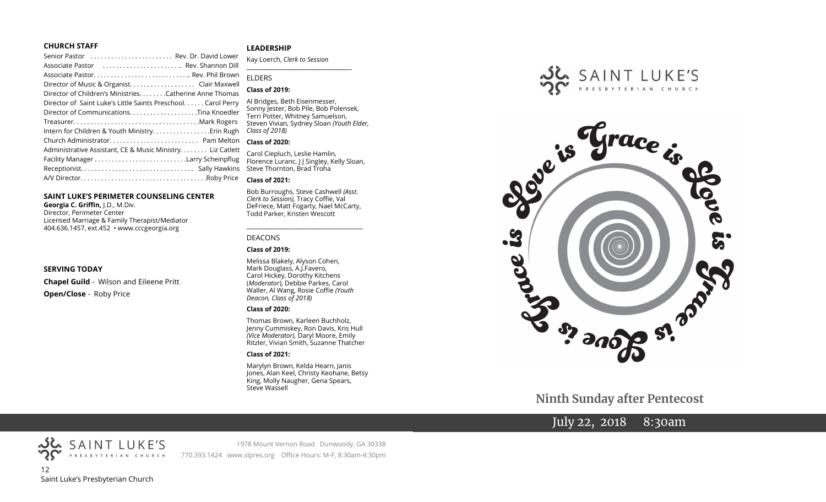#### **CHURCH STAFF**

| ------------                                                  |
|---------------------------------------------------------------|
| Senior Pastor  Rev. Dr. David Lower                           |
| Associate Pastor  Rev. Shannon Dill                           |
|                                                               |
|                                                               |
| Director of Children's Ministries. Catherine Anne Thomas      |
| Director of Saint Luke's Little Saints Preschool. Carol Perry |
|                                                               |
|                                                               |
| Intern for Children & Youth Ministry Erin Rugh                |
| Church Administrator Pam Melton                               |
| Administrative Assistant, CE & Music Ministry Liz Catlett     |
|                                                               |
|                                                               |
|                                                               |

#### **SAINT LUKE'S PERIMETER COUNSELING CENTER**

**Georgia C. Griffin,** J.D., M.Div. Director, Perimeter Center Licensed Marriage & Family Therapist/Mediator 404.636.1457, ext.452 • www.cccgeorgia.org

#### **SERVING TODAY**

**Chapel Guild** - Wilson and Eileene Pritt **Open/Close** - Roby Price

#### **LEADERSHIP**

Kay Loerch, *Clerk to Session*  **\_\_\_\_\_\_\_\_\_\_\_\_\_\_\_\_\_\_\_\_\_\_\_\_\_\_\_\_\_\_\_\_\_\_\_\_\_\_\_**

#### ELDERS

#### **Class of 2019:**

Al Bridges, Beth Eisenmesser, Sonny Jester, Bob Pile, Bob Polensek, Terri Potter, Whitney Samuelson, Steven Vivian*,* Sydney Sloan *(Youth Elder, Class of 2018)*

#### **Class of 2020:**

Carol Ciepluch, Leslie Hamlin, Florence Luranc, J J Singley, Kelly Sloan,  $\sin s$  Steve Thornton, Brad Troha

#### **Class of 2021:**

Bob Burroughs, Steve Cashwell *(Asst. Clerk to Session),* Tracy Coffie, Val DeFriece, Matt Fogarty, Nael McCarty, Todd Parker, Kristen Wescott

\_\_\_\_\_\_\_\_\_\_\_\_\_\_\_\_\_\_\_\_\_\_\_\_\_\_\_\_\_\_\_\_\_\_\_\_

#### DEACONS

#### **Class of 2019:**

Melissa Blakely, Alyson Cohen, Mark Douglass, A.J.Favero, Carol Hickey, Dorothy Kitchens (*Moderator*), Debbie Parkes, Carol Waller, Al Wang, Rosie Coffie *(Youth Deacon, Class of 2018)* 

#### **Class of 2020:**

Thomas Brown, Karleen Buchholz, Jenny Cummiskey, Ron Davis, Kris Hull *(Vice Moderator),* Daryl Moore, Emily Ritzler, Vivian Smith, Suzanne Thatcher

#### **Class of 2021:**

Marylyn Brown, Kelda Hearn, Janis Jones, Alan Keel, Christy Keohane, Betsy King, Molly Naugher, Gena Spears, Steve Wassell





# **Ninth Sunday after Pentecost**

# July 22, 2018 8:30am



SAINT LUKE'S

1978 Mount Vernon Road Dunwoody, GA 30338

770.393.1424 www.slpres.org Office Hours: M-F, 8:30am-4:30pm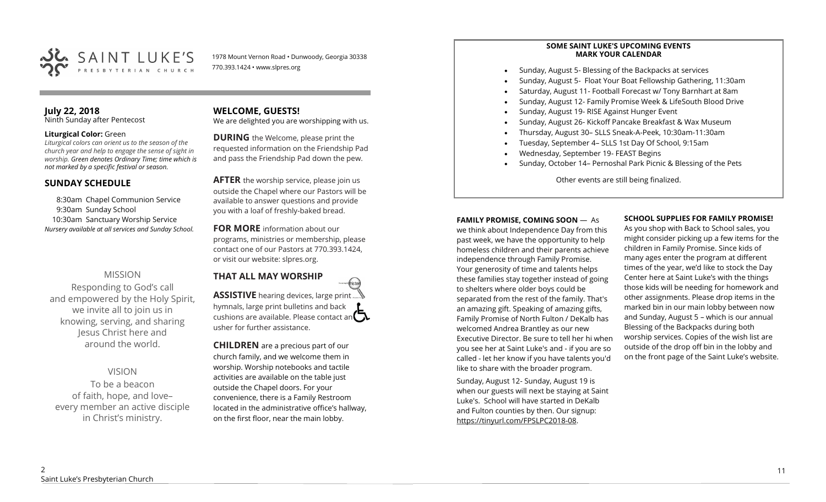

1978 Mount Vernon Road • Dunwoody, Georgia 30338 770.393.1424 • www.slpres.org

#### **July 22, 2018**  Ninth Sunday after Pentecost

#### **Liturgical Color:** Green

*Liturgical colors can orient us to the season of the church year and help to engage the sense of sight in worship. Green denotes Ordinary Time; time which is not marked by a specific festival or season.*

## **SUNDAY SCHEDULE**

8:30am Chapel Communion Service 9:30am Sunday School 10:30am Sanctuary Worship Service *Nursery available at all services and Sunday School.* 

# MISSION

Responding to God's call and empowered by the Holy Spirit, we invite all to join us in knowing, serving, and sharing Jesus Christ here and around the world.

# VISION

To be a beacon of faith, hope, and love– every member an active disciple in Christ's ministry.

# **WELCOME, GUESTS!**

We are delighted you are worshipping with us.

**DURING** the Welcome, please print the requested information on the Friendship Pad and pass the Friendship Pad down the pew.

**AFTER** the worship service, please join us outside the Chapel where our Pastors will be available to answer questions and provide you with a loaf of freshly-baked bread.

**FOR MORE** information about our programs, ministries or membership, please contact one of our Pastors at 770.393.1424, or visit our website: slpres.org.

# **THAT ALL MAY WORSHIP**

**ASSISTIVE** hearing devices, large print hymnals, large print bulletins and back cushions are available. Please contact an  $\square$ usher for further assistance.

thisted

**CHILDREN** are a precious part of our church family, and we welcome them in worship. Worship notebooks and tactile activities are available on the table just outside the Chapel doors. For your convenience, there is a Family Restroom located in the administrative office's hallway, on the first floor, near the main lobby.

#### **SOME SAINT LUKE'S UPCOMING EVENTS MARK YOUR CALENDAR**

- Sunday, August 5- Blessing of the Backpacks at services
- Sunday, August 5- Float Your Boat Fellowship Gathering, 11:30am
- Saturday, August 11- Football Forecast w/ Tony Barnhart at 8am
- Sunday, August 12- Family Promise Week & LifeSouth Blood Drive
- Sunday, August 19- RISE Against Hunger Event
- Sunday, August 26- Kickoff Pancake Breakfast & Wax Museum
- Thursday, August 30– SLLS Sneak-A-Peek, 10:30am-11:30am
- Tuesday, September 4– SLLS 1st Day Of School, 9:15am
- Wednesday, September 19- FEAST Begins
- Sunday, October 14– Pernoshal Park Picnic & Blessing of the Pets

Other events are still being finalized.

#### **FAMILY PROMISE, COMING SOON** —As

we think about Independence Day from this past week, we have the opportunity to help homeless children and their parents achieve independence through Family Promise. Your generosity of time and talents helps these families stay together instead of going to shelters where older boys could be separated from the rest of the family. That's an amazing gift. Speaking of amazing gifts, Family Promise of North Fulton / DeKalb has welcomed Andrea Brantley as our new Executive Director. Be sure to tell her hi when you see her at Saint Luke's and - if you are so called - let her know if you have talents you'd like to share with the broader program.

Sunday, August 12- Sunday, August 19 is when our guests will next be staying at Saint Luke's. School will have started in DeKalb and Fulton counties by then. Our signup: [https://tinyurl.com/FPSLPC2018](https://tinyurl.com/FPSLPC2018-08)-08.

#### **SCHOOL SUPPLIES FOR FAMILY PROMISE!**

As you shop with Back to School sales, you might consider picking up a few items for the children in Family Promise. Since kids of many ages enter the program at different times of the year, we'd like to stock the Day Center here at Saint Luke's with the things those kids will be needing for homework and other assignments. Please drop items in the marked bin in our main lobby between now and Sunday, August 5 – which is our annual Blessing of the Backpacks during both worship services. Copies of the wish list are outside of the drop off bin in the lobby and on the front page of the Saint Luke's website.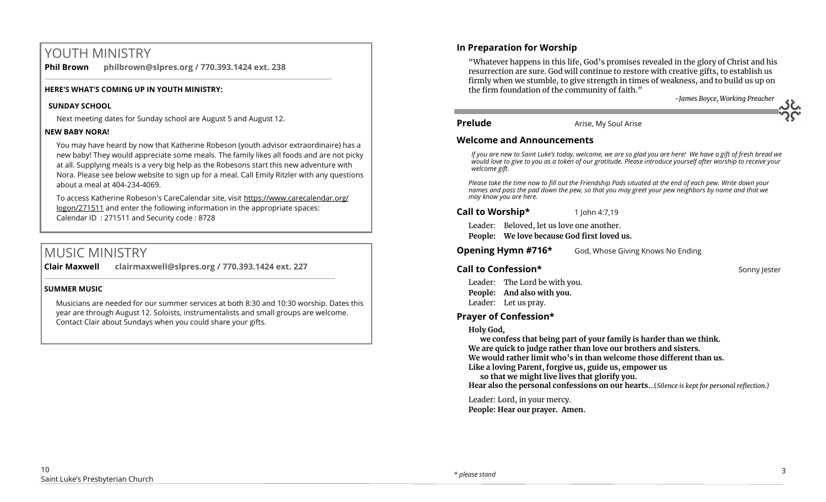# YOUTH MINISTRY

**Phil Brown philbrown@slpres.org / 770.393.1424 ext. 238**  \_\_\_\_\_\_\_\_\_\_\_\_\_\_\_\_\_\_\_\_\_\_\_\_\_\_\_\_\_\_\_\_\_\_\_\_\_\_\_\_\_\_\_\_\_\_\_\_\_\_\_\_\_\_\_\_\_\_\_\_\_\_\_\_\_\_\_\_\_\_\_\_\_\_\_\_\_\_\_\_\_\_\_\_\_\_\_

#### **HERE'S WHAT'S COMING UP IN YOUTH MINISTRY:**

#### **SUNDAY SCHOOL**

Next meeting dates for Sunday school are August 5 and August 12.

#### **NEW BABY NORA!**

You may have heard by now that Katherine Robeson (youth advisor extraordinaire) has a new baby! They would appreciate some meals. The family likes all foods and are not picky at all. Supplying meals is a very big help as the Robesons start this new adventure with Nora. Please see below website to sign up for a meal. Call Emily Ritzler with any questions about a meal at 404-234-4069.

To access Katherine Robeson's CareCalendar site, visit [https://www.carecalendar.org/](https://www.carecalendar.org/logon/271511) [logon/271511](https://www.carecalendar.org/logon/271511) and enter the following information in the appropriate spaces: Calendar ID : 271511 and Security code : 8728

# MUSIC MINISTRY

**Clair Maxwell clairmaxwell@slpres.org / 770.393.1424 ext. 227** 

\_\_\_\_\_\_\_\_\_\_\_\_\_\_\_\_\_\_\_\_\_\_\_\_\_\_\_\_\_\_\_\_\_\_\_\_\_\_\_\_\_\_\_\_\_\_\_\_\_\_\_\_\_\_\_\_\_\_\_\_\_\_\_\_\_\_\_\_\_\_\_\_\_\_\_\_\_\_\_\_\_\_\_\_\_\_\_\_

#### **SUMMER MUSIC**

Musicians are needed for our summer services at both 8:30 and 10:30 worship. Dates this year are through August 12. Soloists, instrumentalists and small groups are welcome. Contact Clair about Sundays when you could share your gifts.

# **In Preparation for Worship**

"Whatever happens in this life, God's promises revealed in the glory of Christ and his resurrection are sure. God will continue to restore with creative gifts, to establish us firmly when we stumble, to give strength in times of weakness, and to build us up on the firm foundation of the community of faith."

*-James Boyce, Working Preacher*

**Prelude** Arise, My Soul Arise

### **Welcome and Announcements**

*If you are new to Saint Luke's today, welcome, we are so glad you are here! We have a gift of fresh bread we would love to give to you as a token of our gratitude. Please introduce yourself after worship to receive your welcome gift.*

*Please take the time now to fill out the Friendship Pads situated at the end of each pew. Write down your names and pass the pad down the pew, so that you may greet your pew neighbors by name and that we may know you are here.*

### **Call to Worship\*** 1 John 4:7,19

Leader: Beloved, let us love one another. **People: We love because God first loved us.**

**Opening Hymn #716\*** God, Whose Giving Knows No Ending

# **Call to Confession\* Sonny Internal Account of the Confession Account of the Confession Account of the Sonny Jester**

Leader: The Lord be with you. **People: And also with you.** Leader: Let us pray.

# **Prayer of Confession\***

#### **Holy God,**

**we confess that being part of your family is harder than we think. We are quick to judge rather than love our brothers and sisters. We would rather limit who's in than welcome those different than us. Like a loving Parent, forgive us, guide us, empower us** 

**so that we might live lives that glorify you.** 

**Hear also the personal confessions on our hearts**…(*Silence is kept for personal reflection.)*

Leader: Lord, in your mercy. **People: Hear our prayer. Amen.**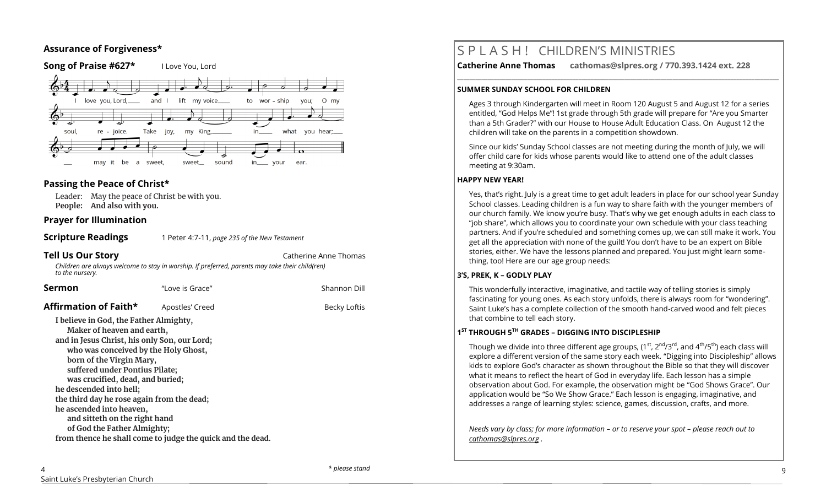## **Assurance of Forgiveness\***



## **Passing the Peace of Christ\***

Leader: May the peace of Christ be with you. **People: And also with you.** 

## **Prayer for Illumination**

**Scripture Readings** 1 Peter 4:7-11, *page 235 of the New Testament* 

**Tell Us Our Story Catherine Anne Thomas** 

*Children are always welcome to stay in worship. If preferred, parents may take their child(ren) to the nursery.*

| Sermon                                                                                                                                                                                                                                                                                                                                                                                                                              | "Love is Grace"                                            | Shannon Dill |
|-------------------------------------------------------------------------------------------------------------------------------------------------------------------------------------------------------------------------------------------------------------------------------------------------------------------------------------------------------------------------------------------------------------------------------------|------------------------------------------------------------|--------------|
| Affirmation of Faith*                                                                                                                                                                                                                                                                                                                                                                                                               | Apostles' Creed                                            | Becky Loftis |
| I believe in God, the Father Almighty,<br>Maker of heaven and earth,<br>and in Jesus Christ, his only Son, our Lord;<br>who was conceived by the Holy Ghost,<br>born of the Virgin Mary,<br>suffered under Pontius Pilate;<br>was crucified, dead, and buried;<br>he descended into hell;<br>the third day he rose again from the dead;<br>he ascended into heaven,<br>and sitteth on the right hand<br>of God the Father Almighty; | from thence he shall come to judge the quick and the dead. |              |

# S P L A S H ! CHILDREN'S MINISTRIES

**Catherine Anne Thomas cathomas@slpres.org / 770.393.1424 ext. 228** 

#### **SUMMER SUNDAY SCHOOL FOR CHILDREN**

Ages 3 through Kindergarten will meet in Room 120 August 5 and August 12 for a series entitled, "God Helps Me"! 1st grade through 5th grade will prepare for "Are you Smarter than a 5th Grader?" with our House to House Adult Education Class. On August 12 the children will take on the parents in a competition showdown.

**\_\_\_\_\_\_\_\_\_\_\_\_\_\_\_\_\_\_\_\_\_\_\_\_\_\_\_\_\_\_\_\_\_\_\_\_\_\_\_\_\_\_\_\_\_\_\_\_\_\_\_\_\_\_\_\_\_\_\_\_\_\_\_\_\_\_\_\_\_\_\_\_\_\_\_\_\_\_\_\_\_\_\_\_\_\_\_\_\_\_\_\_\_\_\_\_\_\_\_\_\_\_\_\_\_\_** 

Since our kids' Sunday School classes are not meeting during the month of July, we will offer child care for kids whose parents would like to attend one of the adult classes meeting at 9:30am.

#### **HAPPY NEW YEAR!**

Yes, that's right. July is a great time to get adult leaders in place for our school year Sunday School classes. Leading children is a fun way to share faith with the younger members of our church family. We know you're busy. That's why we get enough adults in each class to "job share", which allows you to coordinate your own schedule with your class teaching partners. And if you're scheduled and something comes up, we can still make it work. You get all the appreciation with none of the guilt! You don't have to be an expert on Bible stories, either. We have the lessons planned and prepared. You just might learn something, too! Here are our age group needs:

#### **3'S, PREK, K – GODLY PLAY**

This wonderfully interactive, imaginative, and tactile way of telling stories is simply fascinating for young ones. As each story unfolds, there is always room for "wondering". Saint Luke's has a complete collection of the smooth hand-carved wood and felt pieces that combine to tell each story.

## **1 ST THROUGH 5TH GRADES – DIGGING INTO DISCIPLESHIP**

Though we divide into three different age groups,  $(1^{st}, 2^{nd}/3^{rd})$ , and  $4^{th}/5^{th}$ ) each class will explore a different version of the same story each week. "Digging into Discipleship" allows kids to explore God's character as shown throughout the Bible so that they will discover what it means to reflect the heart of God in everyday life. Each lesson has a simple observation about God. For example, the observation might be "God Shows Grace". Our application would be "So We Show Grace." Each lesson is engaging, imaginative, and addresses a range of learning styles: science, games, discussion, crafts, and more.

*Needs vary by class; for more information – or to reserve your spot – please reach out to [cathomas@slpres.org](mailto:cathomas@slpres.org) .*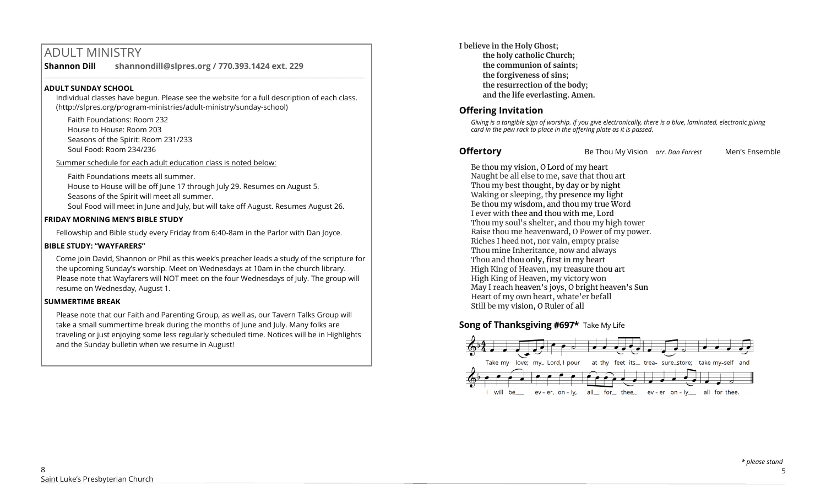# ADULT MINISTRY

**Shannon Dill shannondill@slpres.org / 770.393.1424 ext. 229**   $\_$  ,  $\_$  ,  $\_$  ,  $\_$  ,  $\_$  ,  $\_$  ,  $\_$  ,  $\_$  ,  $\_$  ,  $\_$  ,  $\_$  ,  $\_$  ,  $\_$  ,  $\_$  ,  $\_$  ,  $\_$  ,  $\_$  ,  $\_$  ,  $\_$ 

#### **ADULT SUNDAY SCHOOL**

Individual classes have begun. Please see the website for a full description of each class. (http://slpres.org/program-ministries/adult-ministry/sunday-school)

Faith Foundations: Room 232 House to House: Room 203 Seasons of the Spirit: Room 231/233 Soul Food: Room 234/236

Summer schedule for each adult education class is noted below:

Faith Foundations meets all summer.

House to House will be off June 17 through July 29. Resumes on August 5.

Seasons of the Spirit will meet all summer.

Soul Food will meet in June and July, but will take off August. Resumes August 26.

#### **FRIDAY MORNING MEN'S BIBLE STUDY**

Fellowship and Bible study every Friday from 6:40-8am in the Parlor with Dan Joyce.

### **BIBLE STUDY: "WAYFARERS"**

Come join David, Shannon or Phil as this week's preacher leads a study of the scripture for the upcoming Sunday's worship. Meet on Wednesdays at 10am in the church library. Please note that Wayfarers will NOT meet on the four Wednesdays of July. The group will resume on Wednesday, August 1.

#### **SUMMERTIME BREAK**

Please note that our Faith and Parenting Group, as well as, our Tavern Talks Group will take a small summertime break during the months of June and July. Many folks are traveling or just enjoying some less regularly scheduled time. Notices will be in Highlights and the Sunday bulletin when we resume in August!

**I believe in the Holy Ghost; the holy catholic Church; the communion of saints; the forgiveness of sins; the resurrection of the body; and the life everlasting. Amen.**

# **Offering Invitation**

*Giving is a tangible sign of worship. If you give electronically, there is a blue, laminated, electronic giving card in the pew rack to place in the offering plate as it is passed.*

**Offertory** Be Thou My Vision *arr. Dan Forrest* Men's Ensemble

Be thou my vision, O Lord of my heart Naught be all else to me, save that thou art Thou my best thought, by day or by night Waking or sleeping, thy presence my light Be thou my wisdom, and thou my true Word I ever with thee and thou with me, Lord Thou my soul's shelter, and thou my high tower Raise thou me heavenward, O Power of my power. Riches I heed not, nor vain, empty praise Thou mine Inheritance, now and always Thou and thou only, first in my heart High King of Heaven, my treasure thou art High King of Heaven, my victory won May I reach heaven's joys, O bright heaven's Sun Heart of my own heart, whate'er befall Still be my vision, O Ruler of all

# **Song of Thanksgiving #697\*** Take My Life